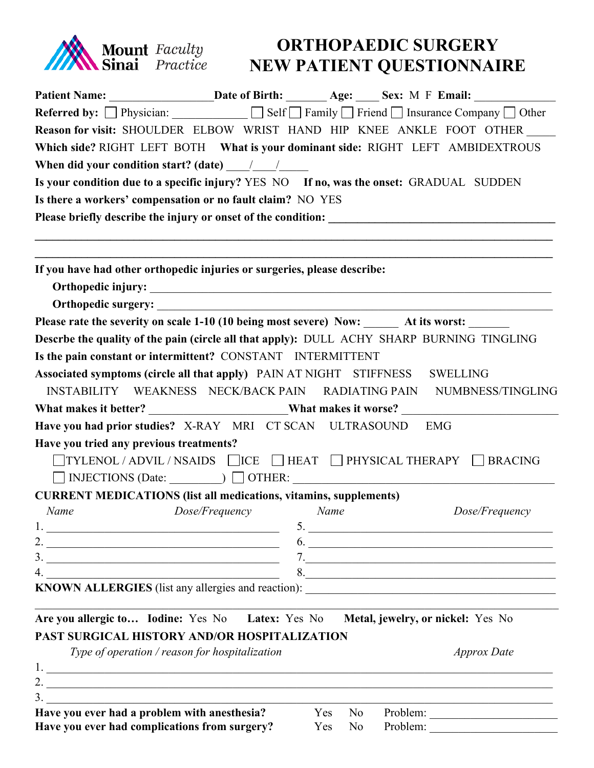

## **ORTHOPAEDIC SURGERY** **NEW PATIENT QUESTIONNAIRE**

|                                                                                                                                                                                                                                                                                                                                                                                                   | Patient Name: ___________________Date of Birth: ________Age: _____Sex: M F Email: __________________                |
|---------------------------------------------------------------------------------------------------------------------------------------------------------------------------------------------------------------------------------------------------------------------------------------------------------------------------------------------------------------------------------------------------|---------------------------------------------------------------------------------------------------------------------|
|                                                                                                                                                                                                                                                                                                                                                                                                   | <b>Referred by:</b> $\Box$ Physician: $\Box$ Self $\Box$ Family $\Box$ Friend $\Box$ Insurance Company $\Box$ Other |
|                                                                                                                                                                                                                                                                                                                                                                                                   | Reason for visit: SHOULDER ELBOW WRIST HAND HIP KNEE ANKLE FOOT OTHER                                               |
|                                                                                                                                                                                                                                                                                                                                                                                                   | Which side? RIGHT LEFT BOTH What is your dominant side: RIGHT LEFT AMBIDEXTROUS                                     |
| When did your condition start? (date) $\frac{1}{\sqrt{1-\frac{1}{\sqrt{1-\frac{1}{\sqrt{1-\frac{1}{\sqrt{1-\frac{1}{\sqrt{1-\frac{1}{\sqrt{1-\frac{1}{\sqrt{1-\frac{1}{\sqrt{1-\frac{1}{\sqrt{1-\frac{1}{\sqrt{1-\frac{1}{\sqrt{1-\frac{1}{\sqrt{1-\frac{1}{\sqrt{1-\frac{1}{\sqrt{1-\frac{1}{\sqrt{1-\frac{1}{\sqrt{1-\frac{1}{\sqrt{1-\frac{1}{\sqrt{1-\frac{1}{\sqrt{1-\frac{1}{\sqrt{1-\frac$ |                                                                                                                     |
|                                                                                                                                                                                                                                                                                                                                                                                                   | Is your condition due to a specific injury? YES NO If no, was the onset: GRADUAL SUDDEN                             |
| Is there a workers' compensation or no fault claim? NO YES                                                                                                                                                                                                                                                                                                                                        |                                                                                                                     |
|                                                                                                                                                                                                                                                                                                                                                                                                   |                                                                                                                     |
|                                                                                                                                                                                                                                                                                                                                                                                                   |                                                                                                                     |
| If you have had other orthopedic injuries or surgeries, please describe:                                                                                                                                                                                                                                                                                                                          |                                                                                                                     |
|                                                                                                                                                                                                                                                                                                                                                                                                   |                                                                                                                     |
| Please rate the severity on scale 1-10 (10 being most severe) Now: At its worst:                                                                                                                                                                                                                                                                                                                  |                                                                                                                     |
|                                                                                                                                                                                                                                                                                                                                                                                                   | Descrbe the quality of the pain (circle all that apply): DULL ACHY SHARP BURNING TINGLING                           |
| Is the pain constant or intermittent? CONSTANT INTERMITTENT                                                                                                                                                                                                                                                                                                                                       |                                                                                                                     |
| Associated symptoms (circle all that apply) PAIN AT NIGHT STIFFNESS SWELLING                                                                                                                                                                                                                                                                                                                      |                                                                                                                     |
|                                                                                                                                                                                                                                                                                                                                                                                                   | INSTABILITY WEAKNESS NECK/BACK PAIN RADIATING PAIN NUMBNESS/TINGLING                                                |
|                                                                                                                                                                                                                                                                                                                                                                                                   |                                                                                                                     |
| Have you had prior studies? X-RAY MRI CT SCAN ULTRASOUND EMG                                                                                                                                                                                                                                                                                                                                      |                                                                                                                     |
| Have you tried any previous treatments?                                                                                                                                                                                                                                                                                                                                                           |                                                                                                                     |
|                                                                                                                                                                                                                                                                                                                                                                                                   | $\Box$ TYLENOL / ADVIL / NSAIDS $\Box$ ICE $\Box$ HEAT $\Box$ PHYSICAL THERAPY $\Box$ BRACING                       |
| $\Box$ INJECTIONS (Date: $\Box$ ) $\Box$ OTHER:                                                                                                                                                                                                                                                                                                                                                   |                                                                                                                     |
| <b>CURRENT MEDICATIONS (list all medications, vitamins, supplements)</b>                                                                                                                                                                                                                                                                                                                          |                                                                                                                     |
| Dose/Frequency<br>Name                                                                                                                                                                                                                                                                                                                                                                            | Dose/Frequency<br>Name                                                                                              |
|                                                                                                                                                                                                                                                                                                                                                                                                   |                                                                                                                     |
| 2. $\overline{\phantom{a}}$                                                                                                                                                                                                                                                                                                                                                                       |                                                                                                                     |
|                                                                                                                                                                                                                                                                                                                                                                                                   |                                                                                                                     |
|                                                                                                                                                                                                                                                                                                                                                                                                   | KNOWN ALLERGIES (list any allergies and reaction): ______________________________                                   |
|                                                                                                                                                                                                                                                                                                                                                                                                   |                                                                                                                     |
|                                                                                                                                                                                                                                                                                                                                                                                                   | Are you allergic to Iodine: Yes No Latex: Yes No Metal, jewelry, or nickel: Yes No                                  |
| <b>PAST SURGICAL HISTORY AND/OR HOSPITALIZATION</b>                                                                                                                                                                                                                                                                                                                                               |                                                                                                                     |
| Type of operation / reason for hospitalization                                                                                                                                                                                                                                                                                                                                                    | <b>Approx Date</b>                                                                                                  |
|                                                                                                                                                                                                                                                                                                                                                                                                   |                                                                                                                     |
|                                                                                                                                                                                                                                                                                                                                                                                                   |                                                                                                                     |
| Have you ever had a problem with anesthesia?                                                                                                                                                                                                                                                                                                                                                      | Yes<br>N <sub>0</sub>                                                                                               |
| Have you ever had complications from surgery?                                                                                                                                                                                                                                                                                                                                                     | Problem:<br>Yes<br>N <sub>0</sub>                                                                                   |